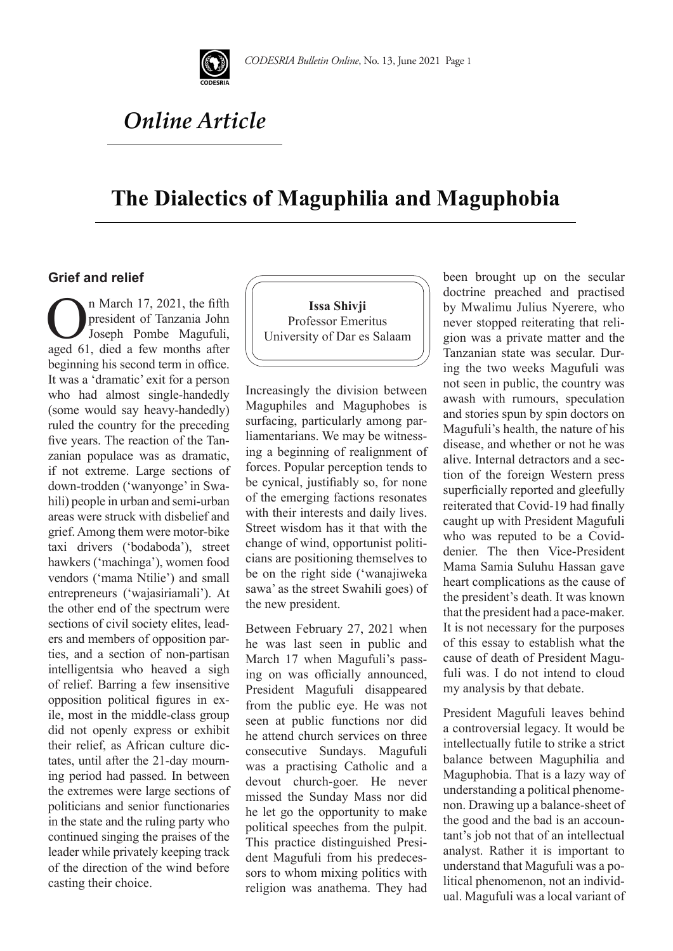

# *Online Article*

## **The Dialectics of Maguphilia and Maguphobia**

#### **Grief and relief**

**On** March 17, 2021, the fifth<br>president of Tanzania John<br>Joseph Pombe Magufuli,<br>aved 61 died a few months after president of Tanzania John Joseph Pombe Magufuli, aged 61, died a few months after beginning his second term in office. It was a 'dramatic' exit for a person who had almost single-handedly (some would say heavy-handedly) ruled the country for the preceding five years. The reaction of the Tanzanian populace was as dramatic, if not extreme. Large sections of down-trodden ('wanyonge' in Swahili) people in urban and semi-urban areas were struck with disbelief and grief. Among them were motor-bike taxi drivers ('bodaboda'), street hawkers ('machinga'), women food vendors ('mama Ntilie') and small entrepreneurs ('wajasiriamali'). At the other end of the spectrum were sections of civil society elites, leaders and members of opposition parties, and a section of non-partisan intelligentsia who heaved a sigh of relief. Barring a few insensitive opposition political figures in exile, most in the middle-class group did not openly express or exhibit their relief, as African culture dictates, until after the 21-day mourning period had passed. In between the extremes were large sections of politicians and senior functionaries in the state and the ruling party who continued singing the praises of the leader while privately keeping track of the direction of the wind before casting their choice.



Increasingly the division between Maguphiles and Maguphobes is surfacing, particularly among parliamentarians. We may be witnessing a beginning of realignment of forces. Popular perception tends to be cynical, justifiably so, for none of the emerging factions resonates with their interests and daily lives. Street wisdom has it that with the change of wind, opportunist politicians are positioning themselves to be on the right side ('wanajiweka sawa' as the street Swahili goes) of the new president.

Between February 27, 2021 when he was last seen in public and March 17 when Magufuli's passing on was officially announced, President Magufuli disappeared from the public eye. He was not seen at public functions nor did he attend church services on three consecutive Sundays. Magufuli was a practising Catholic and a devout church-goer. He never missed the Sunday Mass nor did he let go the opportunity to make political speeches from the pulpit. This practice distinguished President Magufuli from his predecessors to whom mixing politics with religion was anathema. They had been brought up on the secular doctrine preached and practised by Mwalimu Julius Nyerere, who never stopped reiterating that religion was a private matter and the Tanzanian state was secular. During the two weeks Magufuli was not seen in public, the country was awash with rumours, speculation and stories spun by spin doctors on Magufuli's health, the nature of his disease, and whether or not he was alive. Internal detractors and a section of the foreign Western press superficially reported and gleefully reiterated that Covid-19 had finally caught up with President Magufuli who was reputed to be a Coviddenier. The then Vice-President Mama Samia Suluhu Hassan gave heart complications as the cause of the president's death. It was known that the president had a pace-maker. It is not necessary for the purposes of this essay to establish what the cause of death of President Magufuli was. I do not intend to cloud my analysis by that debate.

President Magufuli leaves behind a controversial legacy. It would be intellectually futile to strike a strict balance between Maguphilia and Maguphobia. That is a lazy way of understanding a political phenomenon. Drawing up a balance-sheet of the good and the bad is an accountant's job not that of an intellectual analyst. Rather it is important to understand that Magufuli was a political phenomenon, not an individual. Magufuli was a local variant of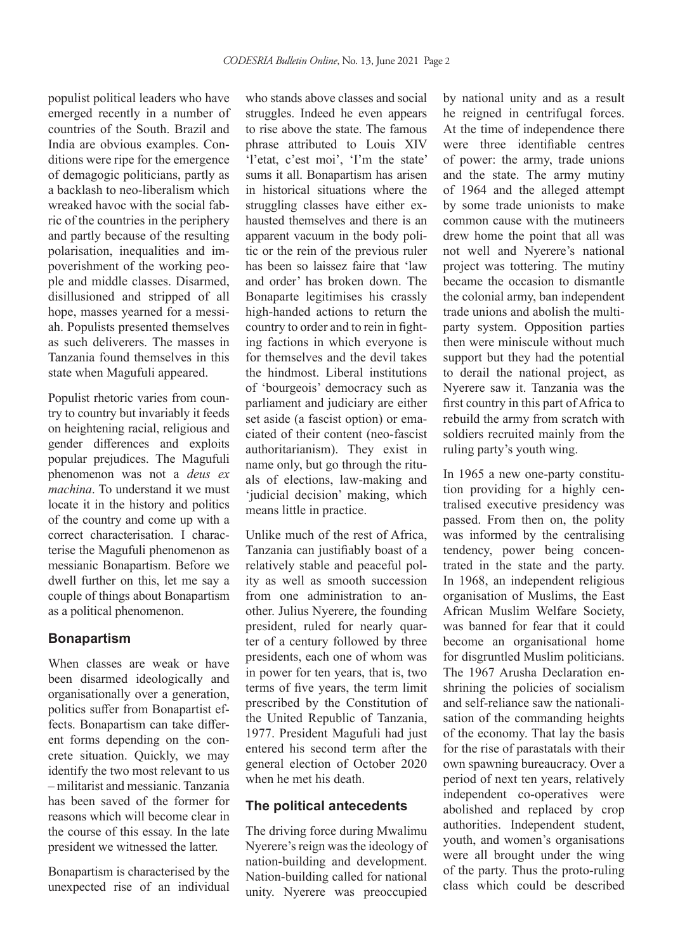populist political leaders who have emerged recently in a number of countries of the South. Brazil and India are obvious examples. Conditions were ripe for the emergence of demagogic politicians, partly as a backlash to neo-liberalism which wreaked havoc with the social fabric of the countries in the periphery and partly because of the resulting polarisation, inequalities and impoverishment of the working people and middle classes. Disarmed, disillusioned and stripped of all hope, masses yearned for a messiah. Populists presented themselves as such deliverers. The masses in Tanzania found themselves in this state when Magufuli appeared.

Populist rhetoric varies from country to country but invariably it feeds on heightening racial, religious and gender differences and exploits popular prejudices. The Magufuli phenomenon was not a *deus ex machina*. To understand it we must locate it in the history and politics of the country and come up with a correct characterisation. I characterise the Magufuli phenomenon as messianic Bonapartism. Before we dwell further on this, let me say a couple of things about Bonapartism as a political phenomenon.

### **Bonapartism**

When classes are weak or have been disarmed ideologically and organisationally over a generation, politics suffer from Bonapartist effects. Bonapartism can take different forms depending on the concrete situation. Quickly, we may identify the two most relevant to us – militarist and messianic. Tanzania has been saved of the former for reasons which will become clear in the course of this essay. In the late president we witnessed the latter.

Bonapartism is characterised by the unexpected rise of an individual

who stands above classes and social struggles. Indeed he even appears to rise above the state. The famous phrase attributed to Louis XIV 'l'etat, c'est moi', 'I'm the state' sums it all. Bonapartism has arisen in historical situations where the struggling classes have either exhausted themselves and there is an apparent vacuum in the body politic or the rein of the previous ruler has been so laissez faire that 'law and order' has broken down. The Bonaparte legitimises his crassly high-handed actions to return the country to order and to rein in fighting factions in which everyone is for themselves and the devil takes the hindmost. Liberal institutions of 'bourgeois' democracy such as parliament and judiciary are either set aside (a fascist option) or emaciated of their content (neo-fascist authoritarianism). They exist in name only, but go through the rituals of elections, law-making and 'judicial decision' making, which means little in practice.

Unlike much of the rest of Africa, Tanzania can justifiably boast of a relatively stable and peaceful polity as well as smooth succession from one administration to another. Julius Nyerere, the founding president, ruled for nearly quarter of a century followed by three presidents, each one of whom was in power for ten years, that is, two terms of five years, the term limit prescribed by the Constitution of the United Republic of Tanzania, 1977. President Magufuli had just entered his second term after the general election of October 2020 when he met his death.

#### **The political antecedents**

The driving force during Mwalimu Nyerere's reign was the ideology of nation-building and development. Nation-building called for national unity. Nyerere was preoccupied

by national unity and as a result he reigned in centrifugal forces. At the time of independence there were three identifiable centres of power: the army, trade unions and the state. The army mutiny of 1964 and the alleged attempt by some trade unionists to make common cause with the mutineers drew home the point that all was not well and Nyerere's national project was tottering. The mutiny became the occasion to dismantle the colonial army, ban independent trade unions and abolish the multiparty system. Opposition parties then were miniscule without much support but they had the potential to derail the national project, as Nyerere saw it. Tanzania was the first country in this part of Africa to rebuild the army from scratch with soldiers recruited mainly from the ruling party's youth wing.

In 1965 a new one-party constitution providing for a highly centralised executive presidency was passed. From then on, the polity was informed by the centralising tendency, power being concentrated in the state and the party. In 1968, an independent religious organisation of Muslims, the East African Muslim Welfare Society, was banned for fear that it could become an organisational home for disgruntled Muslim politicians. The 1967 Arusha Declaration enshrining the policies of socialism and self-reliance saw the nationalisation of the commanding heights of the economy. That lay the basis for the rise of parastatals with their own spawning bureaucracy. Over a period of next ten years, relatively independent co-operatives were abolished and replaced by crop authorities. Independent student, youth, and women's organisations were all brought under the wing of the party. Thus the proto-ruling class which could be described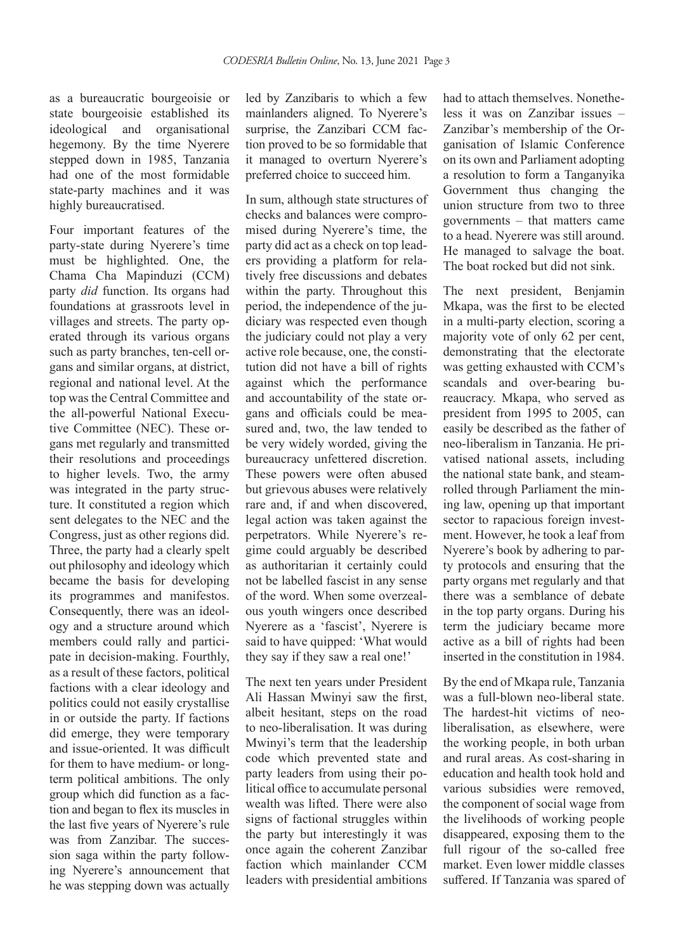as a bureaucratic bourgeoisie or state bourgeoisie established its ideological and organisational hegemony. By the time Nyerere stepped down in 1985, Tanzania had one of the most formidable state-party machines and it was highly bureaucratised.

Four important features of the party-state during Nyerere's time must be highlighted. One, the Chama Cha Mapinduzi (CCM) party *did* function. Its organs had foundations at grassroots level in villages and streets. The party operated through its various organs such as party branches, ten-cell organs and similar organs, at district, regional and national level. At the top was the Central Committee and the all-powerful National Executive Committee (NEC). These organs met regularly and transmitted their resolutions and proceedings to higher levels. Two, the army was integrated in the party structure. It constituted a region which sent delegates to the NEC and the Congress, just as other regions did. Three, the party had a clearly spelt out philosophy and ideology which became the basis for developing its programmes and manifestos. Consequently, there was an ideology and a structure around which members could rally and participate in decision-making. Fourthly, as a result of these factors, political factions with a clear ideology and politics could not easily crystallise in or outside the party. If factions did emerge, they were temporary and issue-oriented. It was difficult for them to have medium- or longterm political ambitions. The only group which did function as a faction and began to flex its muscles in the last five years of Nyerere's rule was from Zanzibar. The succession saga within the party following Nyerere's announcement that he was stepping down was actually led by Zanzibaris to which a few mainlanders aligned. To Nyerere's surprise, the Zanzibari CCM faction proved to be so formidable that it managed to overturn Nyerere's preferred choice to succeed him.

In sum, although state structures of checks and balances were compromised during Nyerere's time, the party did act as a check on top leaders providing a platform for relatively free discussions and debates within the party. Throughout this period, the independence of the judiciary was respected even though the judiciary could not play a very active role because, one, the constitution did not have a bill of rights against which the performance and accountability of the state organs and officials could be measured and, two, the law tended to be very widely worded, giving the bureaucracy unfettered discretion. These powers were often abused but grievous abuses were relatively rare and, if and when discovered, legal action was taken against the perpetrators. While Nyerere's regime could arguably be described as authoritarian it certainly could not be labelled fascist in any sense of the word. When some overzealous youth wingers once described Nyerere as a 'fascist', Nyerere is said to have quipped: 'What would they say if they saw a real one!'

The next ten years under President Ali Hassan Mwinyi saw the first, albeit hesitant, steps on the road to neo-liberalisation. It was during Mwinyi's term that the leadership code which prevented state and party leaders from using their political office to accumulate personal wealth was lifted. There were also signs of factional struggles within the party but interestingly it was once again the coherent Zanzibar faction which mainlander CCM leaders with presidential ambitions had to attach themselves. Nonetheless it was on Zanzibar issues – Zanzibar's membership of the Organisation of Islamic Conference on its own and Parliament adopting a resolution to form a Tanganyika Government thus changing the union structure from two to three governments – that matters came to a head. Nyerere was still around. He managed to salvage the boat. The boat rocked but did not sink.

The next president, Benjamin Mkapa, was the first to be elected in a multi-party election, scoring a majority vote of only 62 per cent, demonstrating that the electorate was getting exhausted with CCM's scandals and over-bearing bureaucracy. Mkapa, who served as president from 1995 to 2005, can easily be described as the father of neo-liberalism in Tanzania. He privatised national assets, including the national state bank, and steamrolled through Parliament the mining law, opening up that important sector to rapacious foreign investment. However, he took a leaf from Nyerere's book by adhering to party protocols and ensuring that the party organs met regularly and that there was a semblance of debate in the top party organs. During his term the judiciary became more active as a bill of rights had been inserted in the constitution in 1984.

By the end of Mkapa rule, Tanzania was a full-blown neo-liberal state. The hardest-hit victims of neoliberalisation, as elsewhere, were the working people, in both urban and rural areas. As cost-sharing in education and health took hold and various subsidies were removed, the component of social wage from the livelihoods of working people disappeared, exposing them to the full rigour of the so-called free market. Even lower middle classes suffered. If Tanzania was spared of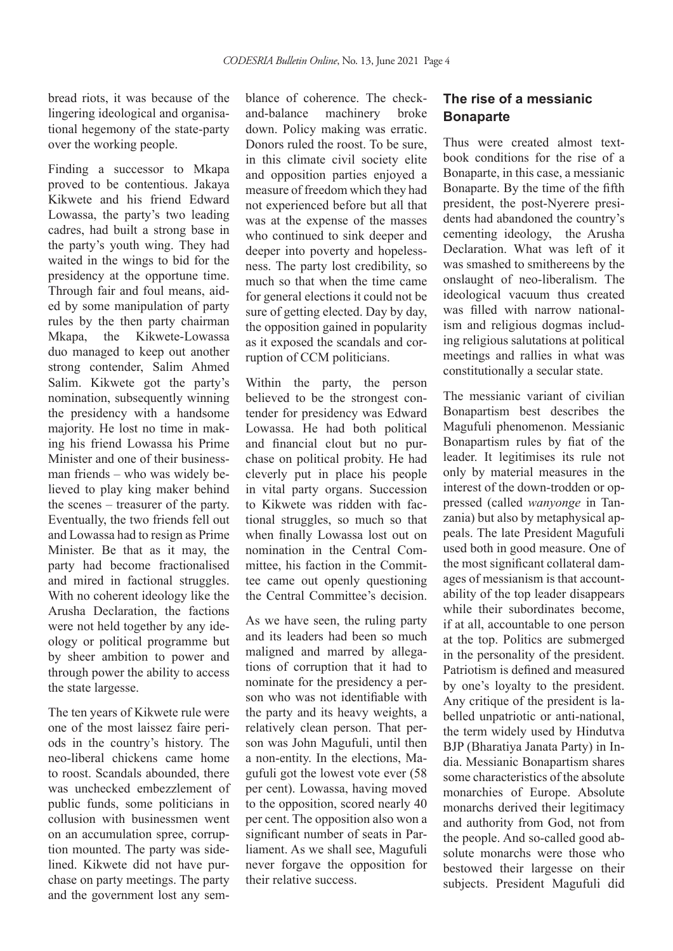bread riots, it was because of the lingering ideological and organisational hegemony of the state-party over the working people.

Finding a successor to Mkapa proved to be contentious. Jakaya Kikwete and his friend Edward Lowassa, the party's two leading cadres, had built a strong base in the party's youth wing. They had waited in the wings to bid for the presidency at the opportune time. Through fair and foul means, aided by some manipulation of party rules by the then party chairman Mkapa, the Kikwete-Lowassa duo managed to keep out another strong contender, Salim Ahmed Salim. Kikwete got the party's nomination, subsequently winning the presidency with a handsome majority. He lost no time in making his friend Lowassa his Prime Minister and one of their businessman friends – who was widely believed to play king maker behind the scenes – treasurer of the party. Eventually, the two friends fell out and Lowassa had to resign as Prime Minister. Be that as it may, the party had become fractionalised and mired in factional struggles. With no coherent ideology like the Arusha Declaration, the factions were not held together by any ideology or political programme but by sheer ambition to power and through power the ability to access the state largesse.

The ten years of Kikwete rule were one of the most laissez faire periods in the country's history. The neo-liberal chickens came home to roost. Scandals abounded, there was unchecked embezzlement of public funds, some politicians in collusion with businessmen went on an accumulation spree, corruption mounted. The party was sidelined. Kikwete did not have purchase on party meetings. The party and the government lost any sem-

blance of coherence. The checkand-balance machinery broke down. Policy making was erratic. Donors ruled the roost. To be sure, in this climate civil society elite and opposition parties enjoyed a measure of freedom which they had not experienced before but all that was at the expense of the masses who continued to sink deeper and deeper into poverty and hopelessness. The party lost credibility, so much so that when the time came for general elections it could not be sure of getting elected. Day by day, the opposition gained in popularity as it exposed the scandals and corruption of CCM politicians.

Within the party, the person believed to be the strongest contender for presidency was Edward Lowassa. He had both political and financial clout but no purchase on political probity. He had cleverly put in place his people in vital party organs. Succession to Kikwete was ridden with factional struggles, so much so that when finally Lowassa lost out on nomination in the Central Committee, his faction in the Committee came out openly questioning the Central Committee's decision.

As we have seen, the ruling party and its leaders had been so much maligned and marred by allegations of corruption that it had to nominate for the presidency a person who was not identifiable with the party and its heavy weights, a relatively clean person. That person was John Magufuli, until then a non-entity. In the elections, Magufuli got the lowest vote ever (58 per cent). Lowassa, having moved to the opposition, scored nearly 40 per cent. The opposition also won a significant number of seats in Parliament. As we shall see, Magufuli never forgave the opposition for their relative success.

## **The rise of a messianic Bonaparte**

Thus were created almost textbook conditions for the rise of a Bonaparte, in this case, a messianic Bonaparte. By the time of the fifth president, the post-Nyerere presidents had abandoned the country's cementing ideology, the Arusha Declaration. What was left of it was smashed to smithereens by the onslaught of neo-liberalism. The ideological vacuum thus created was filled with narrow nationalism and religious dogmas including religious salutations at political meetings and rallies in what was constitutionally a secular state.

The messianic variant of civilian Bonapartism best describes the Magufuli phenomenon. Messianic Bonapartism rules by fiat of the leader. It legitimises its rule not only by material measures in the interest of the down-trodden or oppressed (called *wanyonge* in Tanzania) but also by metaphysical appeals. The late President Magufuli used both in good measure. One of the most significant collateral damages of messianism is that accountability of the top leader disappears while their subordinates become, if at all, accountable to one person at the top. Politics are submerged in the personality of the president. Patriotism is defined and measured by one's loyalty to the president. Any critique of the president is labelled unpatriotic or anti-national, the term widely used by Hindutva BJP (Bharatiya Janata Party) in India. Messianic Bonapartism shares some characteristics of the absolute monarchies of Europe. Absolute monarchs derived their legitimacy and authority from God, not from the people. And so-called good absolute monarchs were those who bestowed their largesse on their subjects. President Magufuli did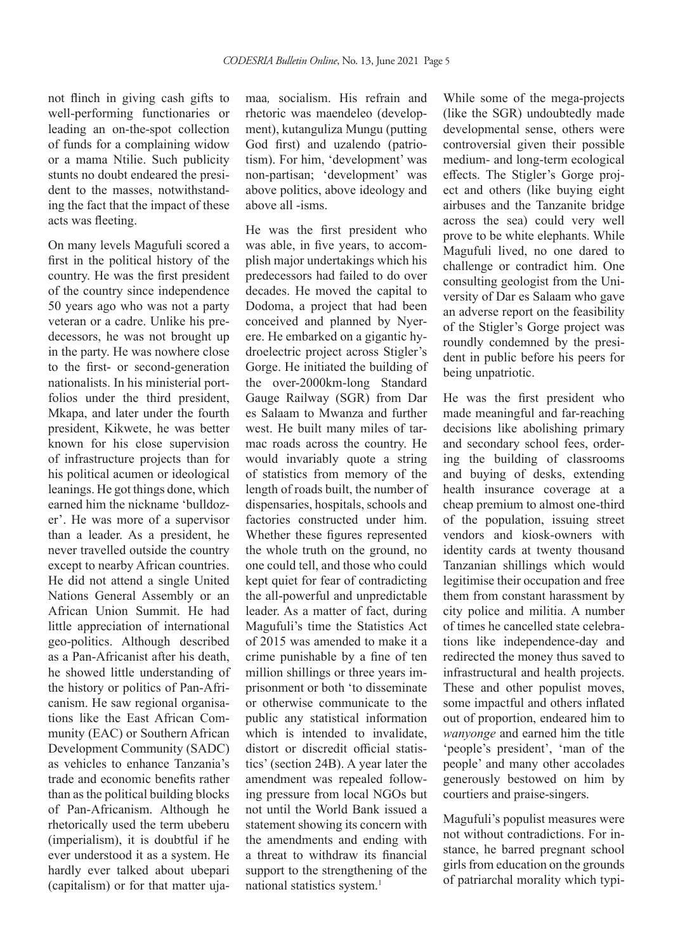not flinch in giving cash gifts to well-performing functionaries or leading an on-the-spot collection of funds for a complaining widow or a mama Ntilie. Such publicity stunts no doubt endeared the president to the masses, notwithstanding the fact that the impact of these acts was fleeting.

On many levels Magufuli scored a first in the political history of the country. He was the first president of the country since independence 50 years ago who was not a party veteran or a cadre. Unlike his predecessors, he was not brought up in the party. He was nowhere close to the first- or second-generation nationalists. In his ministerial portfolios under the third president, Mkapa, and later under the fourth president, Kikwete, he was better known for his close supervision of infrastructure projects than for his political acumen or ideological leanings. He got things done, which earned him the nickname 'bulldozer'. He was more of a supervisor than a leader. As a president, he never travelled outside the country except to nearby African countries. He did not attend a single United Nations General Assembly or an African Union Summit. He had little appreciation of international geo-politics. Although described as a Pan-Africanist after his death, he showed little understanding of the history or politics of Pan-Africanism. He saw regional organisations like the East African Community (EAC) or Southern African Development Community (SADC) as vehicles to enhance Tanzania's trade and economic benefits rather than as the political building blocks of Pan-Africanism. Although he rhetorically used the term ubeberu (imperialism), it is doubtful if he ever understood it as a system. He hardly ever talked about ubepari (capitalism) or for that matter ujamaa*,* socialism. His refrain and rhetoric was maendeleo (development), kutanguliza Mungu (putting God first) and uzalendo (patriotism). For him, 'development' was non-partisan; 'development' was above politics, above ideology and above all -isms.

He was the first president who was able, in five years, to accomplish major undertakings which his predecessors had failed to do over decades. He moved the capital to Dodoma, a project that had been conceived and planned by Nyerere. He embarked on a gigantic hydroelectric project across Stigler's Gorge. He initiated the building of the over-2000km-long Standard Gauge Railway (SGR) from Dar es Salaam to Mwanza and further west. He built many miles of tarmac roads across the country. He would invariably quote a string of statistics from memory of the length of roads built, the number of dispensaries, hospitals, schools and factories constructed under him. Whether these figures represented the whole truth on the ground, no one could tell, and those who could kept quiet for fear of contradicting the all-powerful and unpredictable leader. As a matter of fact, during Magufuli's time the Statistics Act of 2015 was amended to make it a crime punishable by a fine of ten million shillings or three years imprisonment or both 'to disseminate or otherwise communicate to the public any statistical information which is intended to invalidate. distort or discredit official statistics' (section 24B). A year later the amendment was repealed following pressure from local NGOs but not until the World Bank issued a statement showing its concern with the amendments and ending with a threat to withdraw its financial support to the strengthening of the national statistics system.<sup>1</sup>

While some of the mega-projects (like the SGR) undoubtedly made developmental sense, others were controversial given their possible medium- and long-term ecological effects. The Stigler's Gorge project and others (like buying eight airbuses and the Tanzanite bridge across the sea) could very well prove to be white elephants. While Magufuli lived, no one dared to challenge or contradict him. One consulting geologist from the University of Dar es Salaam who gave an adverse report on the feasibility of the Stigler's Gorge project was roundly condemned by the president in public before his peers for being unpatriotic.

He was the first president who made meaningful and far-reaching decisions like abolishing primary and secondary school fees, ordering the building of classrooms and buying of desks, extending health insurance coverage at a cheap premium to almost one-third of the population, issuing street vendors and kiosk-owners with identity cards at twenty thousand Tanzanian shillings which would legitimise their occupation and free them from constant harassment by city police and militia. A number of times he cancelled state celebrations like independence-day and redirected the money thus saved to infrastructural and health projects. These and other populist moves, some impactful and others inflated out of proportion, endeared him to *wanyonge* and earned him the title 'people's president', 'man of the people' and many other accolades generously bestowed on him by courtiers and praise-singers.

Magufuli's populist measures were not without contradictions. For instance, he barred pregnant school girls from education on the grounds of patriarchal morality which typi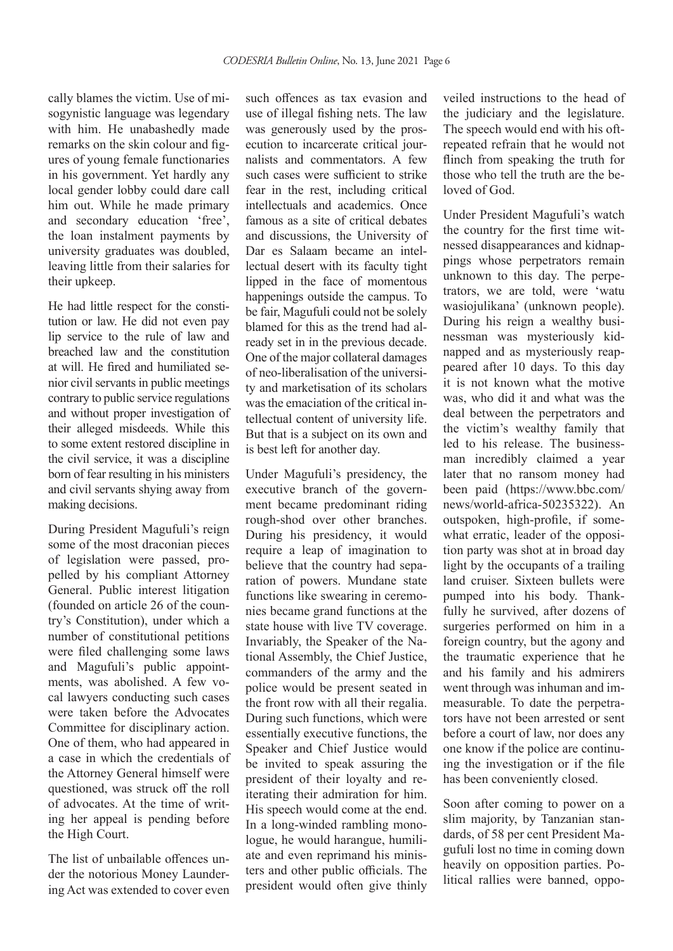cally blames the victim. Use of misogynistic language was legendary with him. He unabashedly made remarks on the skin colour and figures of young female functionaries in his government. Yet hardly any local gender lobby could dare call him out. While he made primary and secondary education 'free', the loan instalment payments by university graduates was doubled, leaving little from their salaries for their upkeep.

He had little respect for the constitution or law. He did not even pay lip service to the rule of law and breached law and the constitution at will. He fired and humiliated senior civil servants in public meetings contrary to public service regulations and without proper investigation of their alleged misdeeds. While this to some extent restored discipline in the civil service, it was a discipline born of fear resulting in his ministers and civil servants shying away from making decisions.

During President Magufuli's reign some of the most draconian pieces of legislation were passed, propelled by his compliant Attorney General. Public interest litigation (founded on article 26 of the country's Constitution), under which a number of constitutional petitions were filed challenging some laws and Magufuli's public appointments, was abolished. A few vocal lawyers conducting such cases were taken before the Advocates Committee for disciplinary action. One of them, who had appeared in a case in which the credentials of the Attorney General himself were questioned, was struck off the roll of advocates. At the time of writing her appeal is pending before the High Court.

The list of unbailable offences under the notorious Money Laundering Act was extended to cover even such offences as tax evasion and use of illegal fishing nets. The law was generously used by the prosecution to incarcerate critical journalists and commentators. A few such cases were sufficient to strike fear in the rest, including critical intellectuals and academics. Once famous as a site of critical debates and discussions, the University of Dar es Salaam became an intellectual desert with its faculty tight lipped in the face of momentous happenings outside the campus. To be fair, Magufuli could not be solely blamed for this as the trend had already set in in the previous decade. One of the major collateral damages of neo-liberalisation of the university and marketisation of its scholars was the emaciation of the critical intellectual content of university life. But that is a subject on its own and is best left for another day.

Under Magufuli's presidency, the executive branch of the government became predominant riding rough-shod over other branches. During his presidency, it would require a leap of imagination to believe that the country had separation of powers. Mundane state functions like swearing in ceremonies became grand functions at the state house with live TV coverage. Invariably, the Speaker of the National Assembly, the Chief Justice, commanders of the army and the police would be present seated in the front row with all their regalia. During such functions, which were essentially executive functions, the Speaker and Chief Justice would be invited to speak assuring the president of their loyalty and reiterating their admiration for him. His speech would come at the end. In a long-winded rambling monologue, he would harangue, humiliate and even reprimand his ministers and other public officials. The president would often give thinly veiled instructions to the head of the judiciary and the legislature. The speech would end with his oftrepeated refrain that he would not flinch from speaking the truth for those who tell the truth are the beloved of God.

Under President Magufuli's watch the country for the first time witnessed disappearances and kidnappings whose perpetrators remain unknown to this day. The perpetrators, we are told, were 'watu wasiojulikana' (unknown people). During his reign a wealthy businessman was mysteriously kidnapped and as mysteriously reappeared after 10 days. To this day it is not known what the motive was, who did it and what was the deal between the perpetrators and the victim's wealthy family that led to his release. The businessman incredibly claimed a year later that no ransom money had been paid (https://www.bbc.com/ news/world-africa-50235322). An outspoken, high-profile, if somewhat erratic, leader of the opposition party was shot at in broad day light by the occupants of a trailing land cruiser. Sixteen bullets were pumped into his body. Thankfully he survived, after dozens of surgeries performed on him in a foreign country, but the agony and the traumatic experience that he and his family and his admirers went through was inhuman and immeasurable. To date the perpetrators have not been arrested or sent before a court of law, nor does any one know if the police are continuing the investigation or if the file has been conveniently closed.

Soon after coming to power on a slim majority, by Tanzanian standards, of 58 per cent President Magufuli lost no time in coming down heavily on opposition parties. Political rallies were banned, oppo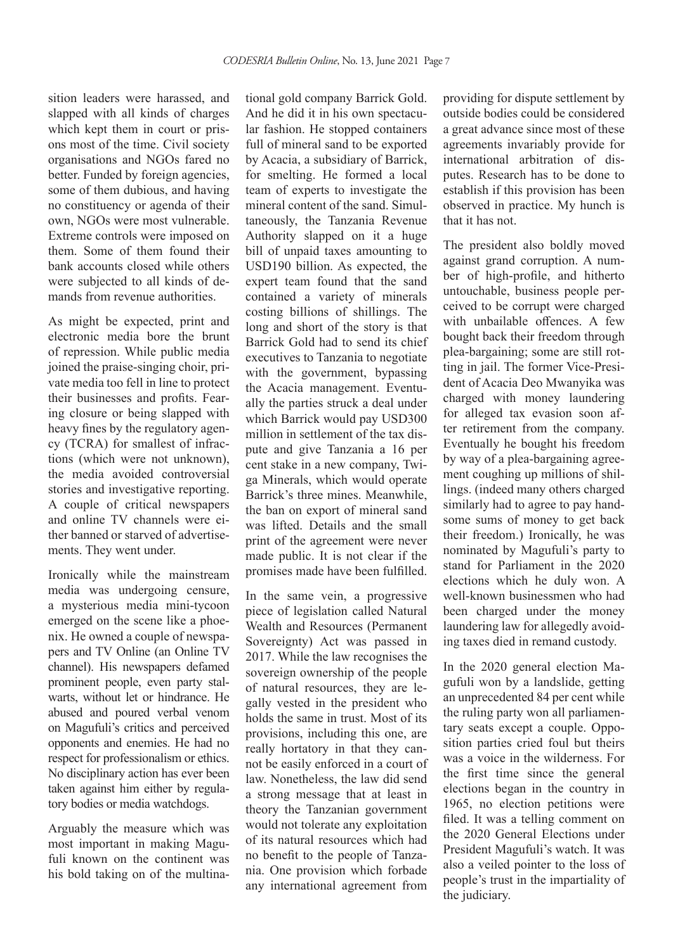sition leaders were harassed, and slapped with all kinds of charges which kept them in court or prisons most of the time. Civil society organisations and NGOs fared no better. Funded by foreign agencies, some of them dubious, and having no constituency or agenda of their own, NGOs were most vulnerable. Extreme controls were imposed on them. Some of them found their bank accounts closed while others were subjected to all kinds of demands from revenue authorities.

As might be expected, print and electronic media bore the brunt of repression. While public media joined the praise-singing choir, private media too fell in line to protect their businesses and profits. Fearing closure or being slapped with heavy fines by the regulatory agency (TCRA) for smallest of infractions (which were not unknown), the media avoided controversial stories and investigative reporting. A couple of critical newspapers and online TV channels were either banned or starved of advertisements. They went under.

Ironically while the mainstream media was undergoing censure, a mysterious media mini-tycoon emerged on the scene like a phoenix. He owned a couple of newspapers and TV Online (an Online TV channel). His newspapers defamed prominent people, even party stalwarts, without let or hindrance. He abused and poured verbal venom on Magufuli's critics and perceived opponents and enemies. He had no respect for professionalism or ethics. No disciplinary action has ever been taken against him either by regulatory bodies or media watchdogs.

Arguably the measure which was most important in making Magufuli known on the continent was his bold taking on of the multina-

tional gold company Barrick Gold. And he did it in his own spectacular fashion. He stopped containers full of mineral sand to be exported by Acacia, a subsidiary of Barrick, for smelting. He formed a local team of experts to investigate the mineral content of the sand. Simultaneously, the Tanzania Revenue Authority slapped on it a huge bill of unpaid taxes amounting to USD190 billion. As expected, the expert team found that the sand contained a variety of minerals costing billions of shillings. The long and short of the story is that Barrick Gold had to send its chief executives to Tanzania to negotiate with the government, bypassing the Acacia management. Eventually the parties struck a deal under which Barrick would pay USD300 million in settlement of the tax dispute and give Tanzania a 16 per cent stake in a new company, Twiga Minerals, which would operate Barrick's three mines. Meanwhile, the ban on export of mineral sand was lifted. Details and the small print of the agreement were never made public. It is not clear if the promises made have been fulfilled.

In the same vein, a progressive piece of legislation called Natural Wealth and Resources (Permanent Sovereignty) Act was passed in 2017. While the law recognises the sovereign ownership of the people of natural resources, they are legally vested in the president who holds the same in trust. Most of its provisions, including this one, are really hortatory in that they cannot be easily enforced in a court of law. Nonetheless, the law did send a strong message that at least in theory the Tanzanian government would not tolerate any exploitation of its natural resources which had no benefit to the people of Tanzania. One provision which forbade any international agreement from

providing for dispute settlement by outside bodies could be considered a great advance since most of these agreements invariably provide for international arbitration of disputes. Research has to be done to establish if this provision has been observed in practice. My hunch is that it has not.

The president also boldly moved against grand corruption. A number of high-profile, and hitherto untouchable, business people perceived to be corrupt were charged with unbailable offences. A few bought back their freedom through plea-bargaining; some are still rotting in jail. The former Vice-President of Acacia Deo Mwanyika was charged with money laundering for alleged tax evasion soon after retirement from the company. Eventually he bought his freedom by way of a plea-bargaining agreement coughing up millions of shillings. (indeed many others charged similarly had to agree to pay handsome sums of money to get back their freedom.) Ironically, he was nominated by Magufuli's party to stand for Parliament in the 2020 elections which he duly won. A well-known businessmen who had been charged under the money laundering law for allegedly avoiding taxes died in remand custody.

In the 2020 general election Magufuli won by a landslide, getting an unprecedented 84 per cent while the ruling party won all parliamentary seats except a couple. Opposition parties cried foul but theirs was a voice in the wilderness. For the first time since the general elections began in the country in 1965, no election petitions were filed. It was a telling comment on the 2020 General Elections under President Magufuli's watch. It was also a veiled pointer to the loss of people's trust in the impartiality of the judiciary.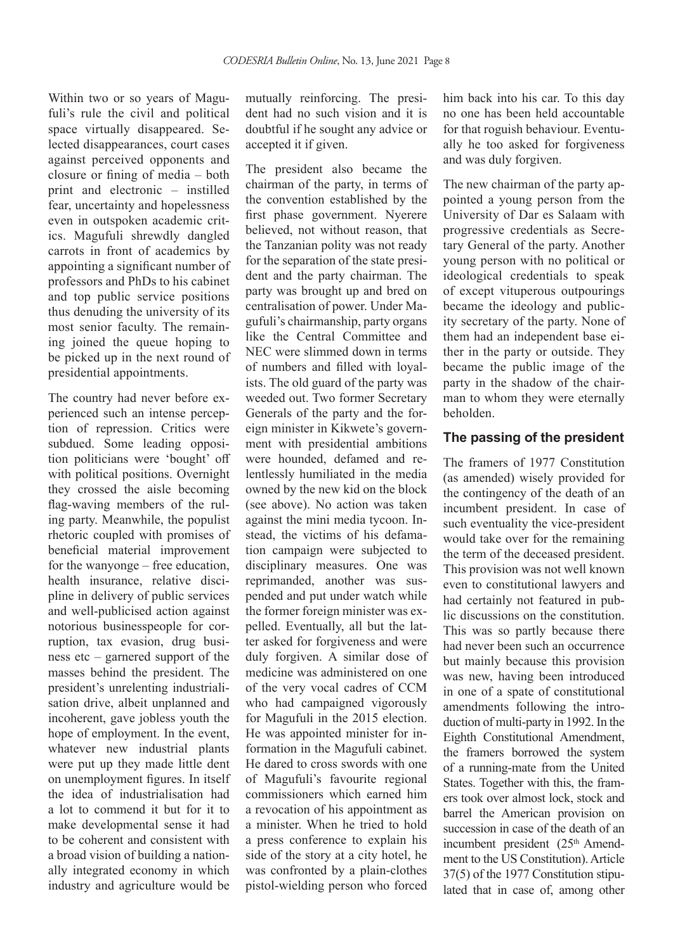Within two or so years of Magufuli's rule the civil and political space virtually disappeared. Selected disappearances, court cases against perceived opponents and closure or fining of media – both print and electronic – instilled fear, uncertainty and hopelessness even in outspoken academic critics. Magufuli shrewdly dangled carrots in front of academics by appointing a significant number of professors and PhDs to his cabinet and top public service positions thus denuding the university of its most senior faculty. The remaining joined the queue hoping to be picked up in the next round of presidential appointments.

The country had never before experienced such an intense perception of repression. Critics were subdued. Some leading opposition politicians were 'bought' off with political positions. Overnight they crossed the aisle becoming flag-waving members of the ruling party. Meanwhile, the populist rhetoric coupled with promises of beneficial material improvement for the wanyonge – free education, health insurance, relative discipline in delivery of public services and well-publicised action against notorious businesspeople for corruption, tax evasion, drug business etc – garnered support of the masses behind the president. The president's unrelenting industrialisation drive, albeit unplanned and incoherent, gave jobless youth the hope of employment. In the event, whatever new industrial plants were put up they made little dent on unemployment figures. In itself the idea of industrialisation had a lot to commend it but for it to make developmental sense it had to be coherent and consistent with a broad vision of building a nationally integrated economy in which industry and agriculture would be

mutually reinforcing. The president had no such vision and it is doubtful if he sought any advice or accepted it if given.

The president also became the chairman of the party, in terms of the convention established by the first phase government. Nyerere believed, not without reason, that the Tanzanian polity was not ready for the separation of the state president and the party chairman. The party was brought up and bred on centralisation of power. Under Magufuli's chairmanship, party organs like the Central Committee and NEC were slimmed down in terms of numbers and filled with loyalists. The old guard of the party was weeded out. Two former Secretary Generals of the party and the foreign minister in Kikwete's government with presidential ambitions were hounded, defamed and relentlessly humiliated in the media owned by the new kid on the block (see above). No action was taken against the mini media tycoon. Instead, the victims of his defamation campaign were subjected to disciplinary measures. One was reprimanded, another was suspended and put under watch while the former foreign minister was expelled. Eventually, all but the latter asked for forgiveness and were duly forgiven. A similar dose of medicine was administered on one of the very vocal cadres of CCM who had campaigned vigorously for Magufuli in the 2015 election. He was appointed minister for information in the Magufuli cabinet. He dared to cross swords with one of Magufuli's favourite regional commissioners which earned him a revocation of his appointment as a minister. When he tried to hold a press conference to explain his side of the story at a city hotel, he was confronted by a plain-clothes pistol-wielding person who forced

him back into his car. To this day no one has been held accountable for that roguish behaviour. Eventually he too asked for forgiveness and was duly forgiven.

The new chairman of the party appointed a young person from the University of Dar es Salaam with progressive credentials as Secretary General of the party. Another young person with no political or ideological credentials to speak of except vituperous outpourings became the ideology and publicity secretary of the party. None of them had an independent base either in the party or outside. They became the public image of the party in the shadow of the chairman to whom they were eternally beholden.

#### **The passing of the president**

The framers of 1977 Constitution (as amended) wisely provided for the contingency of the death of an incumbent president. In case of such eventuality the vice-president would take over for the remaining the term of the deceased president. This provision was not well known even to constitutional lawyers and had certainly not featured in public discussions on the constitution. This was so partly because there had never been such an occurrence but mainly because this provision was new, having been introduced in one of a spate of constitutional amendments following the introduction of multi-party in 1992. In the Eighth Constitutional Amendment, the framers borrowed the system of a running-mate from the United States. Together with this, the framers took over almost lock, stock and barrel the American provision on succession in case of the death of an incumbent president (25<sup>th</sup> Amendment to the US Constitution). Article 37(5) of the 1977 Constitution stipulated that in case of, among other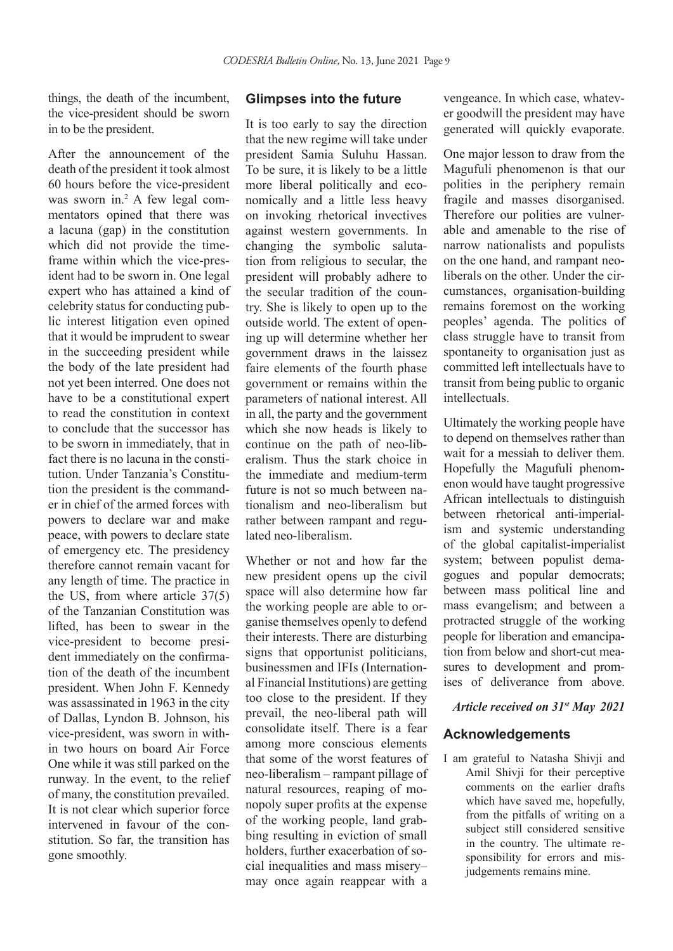things, the death of the incumbent, the vice-president should be sworn in to be the president.

After the announcement of the death of the president it took almost 60 hours before the vice-president was sworn in.<sup>2</sup> A few legal commentators opined that there was a lacuna (gap) in the constitution which did not provide the timeframe within which the vice-president had to be sworn in. One legal expert who has attained a kind of celebrity status for conducting public interest litigation even opined that it would be imprudent to swear in the succeeding president while the body of the late president had not yet been interred. One does not have to be a constitutional expert to read the constitution in context to conclude that the successor has to be sworn in immediately, that in fact there is no lacuna in the constitution. Under Tanzania's Constitution the president is the commander in chief of the armed forces with powers to declare war and make peace, with powers to declare state of emergency etc. The presidency therefore cannot remain vacant for any length of time. The practice in the US, from where article 37(5) of the Tanzanian Constitution was lifted, has been to swear in the vice-president to become president immediately on the confirmation of the death of the incumbent president. When John F. Kennedy was assassinated in 1963 in the city of Dallas, Lyndon B. Johnson, his vice-president, was sworn in within two hours on board Air Force One while it was still parked on the runway. In the event, to the relief of many, the constitution prevailed. It is not clear which superior force intervened in favour of the constitution. So far, the transition has gone smoothly.

#### **Glimpses into the future**

It is too early to say the direction that the new regime will take under president Samia Suluhu Hassan. To be sure, it is likely to be a little more liberal politically and economically and a little less heavy on invoking rhetorical invectives against western governments. In changing the symbolic salutation from religious to secular, the president will probably adhere to the secular tradition of the country. She is likely to open up to the outside world. The extent of opening up will determine whether her government draws in the laissez faire elements of the fourth phase government or remains within the parameters of national interest. All in all, the party and the government which she now heads is likely to continue on the path of neo-liberalism. Thus the stark choice in the immediate and medium-term future is not so much between nationalism and neo-liberalism but rather between rampant and regulated neo-liberalism.

Whether or not and how far the new president opens up the civil space will also determine how far the working people are able to organise themselves openly to defend their interests. There are disturbing signs that opportunist politicians, businessmen and IFIs (International Financial Institutions) are getting too close to the president. If they prevail, the neo-liberal path will consolidate itself. There is a fear among more conscious elements that some of the worst features of neo-liberalism – rampant pillage of natural resources, reaping of monopoly super profits at the expense of the working people, land grabbing resulting in eviction of small holders, further exacerbation of social inequalities and mass misery– may once again reappear with a

vengeance. In which case, whatever goodwill the president may have generated will quickly evaporate.

One major lesson to draw from the Magufuli phenomenon is that our polities in the periphery remain fragile and masses disorganised. Therefore our polities are vulnerable and amenable to the rise of narrow nationalists and populists on the one hand, and rampant neoliberals on the other. Under the circumstances, organisation-building remains foremost on the working peoples' agenda. The politics of class struggle have to transit from spontaneity to organisation just as committed left intellectuals have to transit from being public to organic intellectuals.

Ultimately the working people have to depend on themselves rather than wait for a messiah to deliver them. Hopefully the Magufuli phenomenon would have taught progressive African intellectuals to distinguish between rhetorical anti-imperialism and systemic understanding of the global capitalist-imperialist system; between populist demagogues and popular democrats; between mass political line and mass evangelism; and between a protracted struggle of the working people for liberation and emancipation from below and short-cut measures to development and promises of deliverance from above.

#### *Article received on 31st May 2021*

#### **Acknowledgements**

I am grateful to Natasha Shivji and Amil Shivji for their perceptive comments on the earlier drafts which have saved me, hopefully, from the pitfalls of writing on a subject still considered sensitive in the country. The ultimate responsibility for errors and misjudgements remains mine.